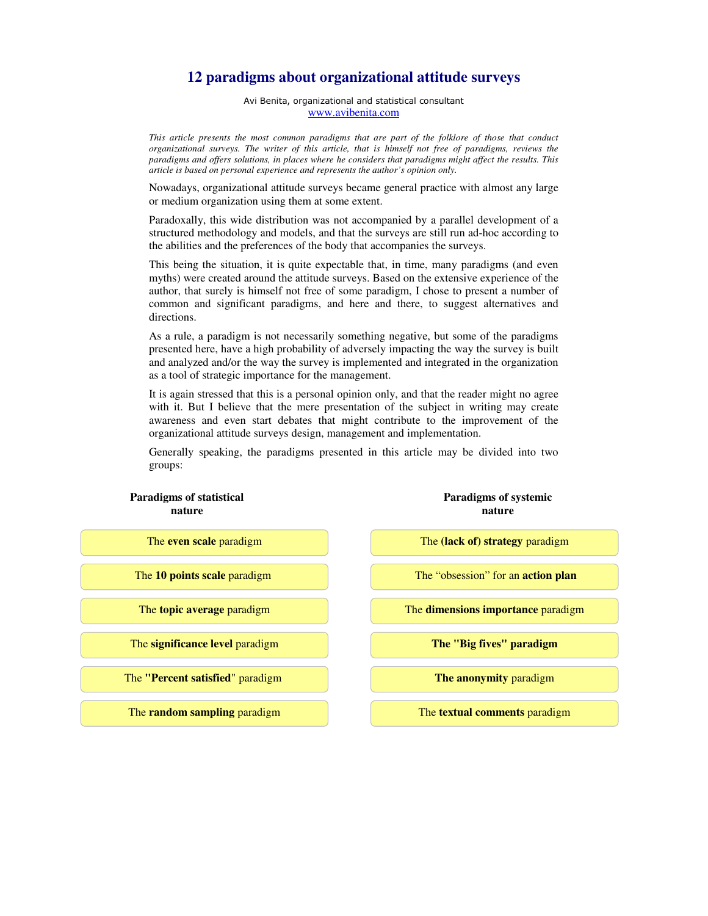## **12 paradigms about organizational attitude surveys**

Avi Benita, organizational and statistical consultant www.avibenita.com

*This article presents the most common paradigms that are part of the folklore of those that conduct organizational surveys. The writer of this article, that is himself not free of paradigms, reviews the paradigms and offers solutions, in places where he considers that paradigms might affect the results. This article is based on personal experience and represents the author's opinion only.* 

Nowadays, organizational attitude surveys became general practice with almost any large or medium organization using them at some extent.

Paradoxally, this wide distribution was not accompanied by a parallel development of a structured methodology and models, and that the surveys are still run ad-hoc according to the abilities and the preferences of the body that accompanies the surveys.

This being the situation, it is quite expectable that, in time, many paradigms (and even myths) were created around the attitude surveys. Based on the extensive experience of the author, that surely is himself not free of some paradigm, I chose to present a number of common and significant paradigms, and here and there, to suggest alternatives and directions.

As a rule, a paradigm is not necessarily something negative, but some of the paradigms presented here, have a high probability of adversely impacting the way the survey is built and analyzed and/or the way the survey is implemented and integrated in the organization as a tool of strategic importance for the management.

It is again stressed that this is a personal opinion only, and that the reader might no agree with it. But I believe that the mere presentation of the subject in writing may create awareness and even start debates that might contribute to the improvement of the organizational attitude surveys design, management and implementation.

Generally speaking, the paradigms presented in this article may be divided into two groups:

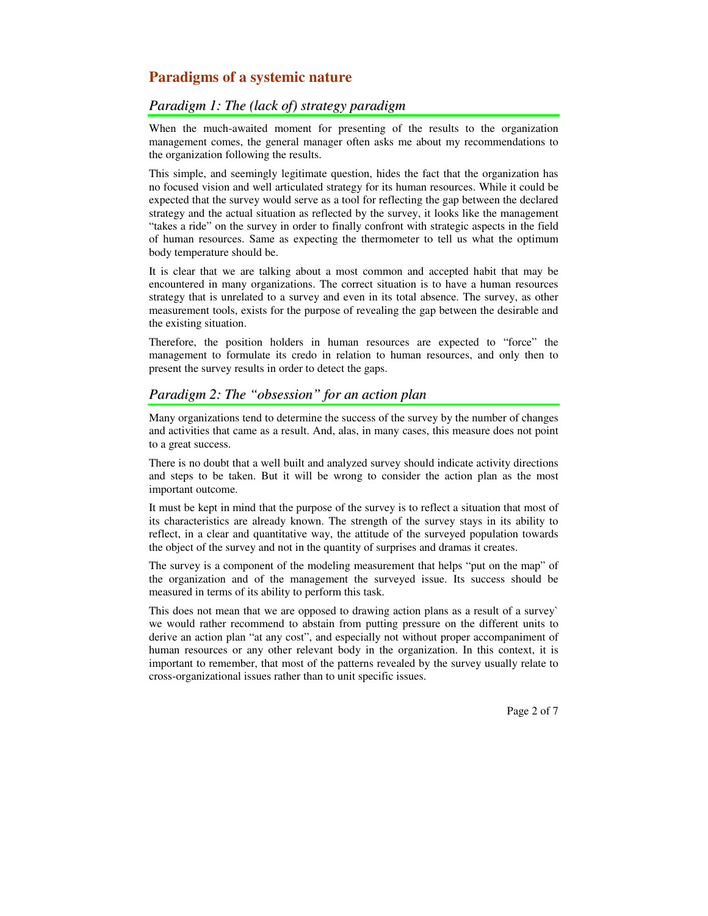# **Paradigms of a systemic nature**

## *Paradigm 1: The (lack of) strategy paradigm*

When the much-awaited moment for presenting of the results to the organization management comes, the general manager often asks me about my recommendations to the organization following the results.

This simple, and seemingly legitimate question, hides the fact that the organization has no focused vision and well articulated strategy for its human resources. While it could be expected that the survey would serve as a tool for reflecting the gap between the declared strategy and the actual situation as reflected by the survey, it looks like the management "takes a ride" on the survey in order to finally confront with strategic aspects in the field of human resources. Same as expecting the thermometer to tell us what the optimum body temperature should be.

It is clear that we are talking about a most common and accepted habit that may be encountered in many organizations. The correct situation is to have a human resources strategy that is unrelated to a survey and even in its total absence. The survey, as other measurement tools, exists for the purpose of revealing the gap between the desirable and the existing situation.

Therefore, the position holders in human resources are expected to "force" the management to formulate its credo in relation to human resources, and only then to present the survey results in order to detect the gaps.

## *Paradigm 2: The "obsession" for an action plan*

Many organizations tend to determine the success of the survey by the number of changes and activities that came as a result. And, alas, in many cases, this measure does not point to a great success.

There is no doubt that a well built and analyzed survey should indicate activity directions and steps to be taken. But it will be wrong to consider the action plan as the most important outcome.

It must be kept in mind that the purpose of the survey is to reflect a situation that most of its characteristics are already known. The strength of the survey stays in its ability to reflect, in a clear and quantitative way, the attitude of the surveyed population towards the object of the survey and not in the quantity of surprises and dramas it creates.

The survey is a component of the modeling measurement that helps "put on the map" of the organization and of the management the surveyed issue. Its success should be measured in terms of its ability to perform this task.

This does not mean that we are opposed to drawing action plans as a result of a survey` we would rather recommend to abstain from putting pressure on the different units to derive an action plan "at any cost", and especially not without proper accompaniment of human resources or any other relevant body in the organization. In this context, it is important to remember, that most of the patterns revealed by the survey usually relate to cross-organizational issues rather than to unit specific issues.

Page 2 of 7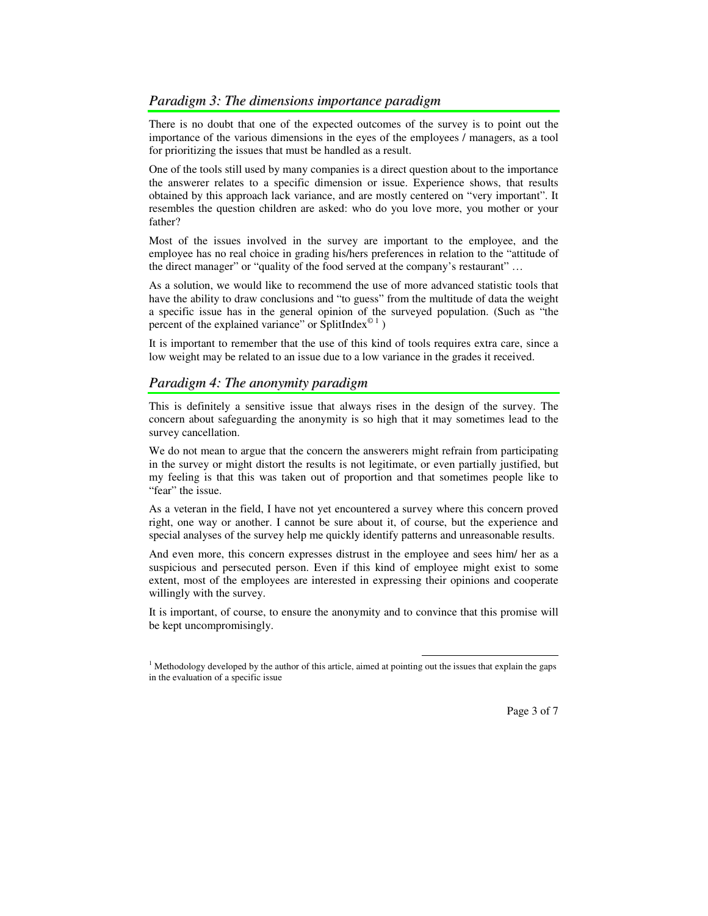There is no doubt that one of the expected outcomes of the survey is to point out the importance of the various dimensions in the eyes of the employees / managers, as a tool for prioritizing the issues that must be handled as a result.

One of the tools still used by many companies is a direct question about to the importance the answerer relates to a specific dimension or issue. Experience shows, that results obtained by this approach lack variance, and are mostly centered on "very important". It resembles the question children are asked: who do you love more, you mother or your father?

Most of the issues involved in the survey are important to the employee, and the employee has no real choice in grading his/hers preferences in relation to the "attitude of the direct manager" or "quality of the food served at the company's restaurant" …

As a solution, we would like to recommend the use of more advanced statistic tools that have the ability to draw conclusions and "to guess" from the multitude of data the weight a specific issue has in the general opinion of the surveyed population. (Such as "the percent of the explained variance" or SplitIndex $^{\circ}$ <sup>1</sup>)

It is important to remember that the use of this kind of tools requires extra care, since a low weight may be related to an issue due to a low variance in the grades it received.

## *Paradigm 4: The anonymity paradigm*

This is definitely a sensitive issue that always rises in the design of the survey. The concern about safeguarding the anonymity is so high that it may sometimes lead to the survey cancellation.

We do not mean to argue that the concern the answerers might refrain from participating in the survey or might distort the results is not legitimate, or even partially justified, but my feeling is that this was taken out of proportion and that sometimes people like to "fear" the issue.

As a veteran in the field, I have not yet encountered a survey where this concern proved right, one way or another. I cannot be sure about it, of course, but the experience and special analyses of the survey help me quickly identify patterns and unreasonable results.

And even more, this concern expresses distrust in the employee and sees him/ her as a suspicious and persecuted person. Even if this kind of employee might exist to some extent, most of the employees are interested in expressing their opinions and cooperate willingly with the survey.

It is important, of course, to ensure the anonymity and to convince that this promise will be kept uncompromisingly.

 $\overline{a}$ 

Page 3 of 7

<sup>&</sup>lt;sup>1</sup> Methodology developed by the author of this article, aimed at pointing out the issues that explain the gaps in the evaluation of a specific issue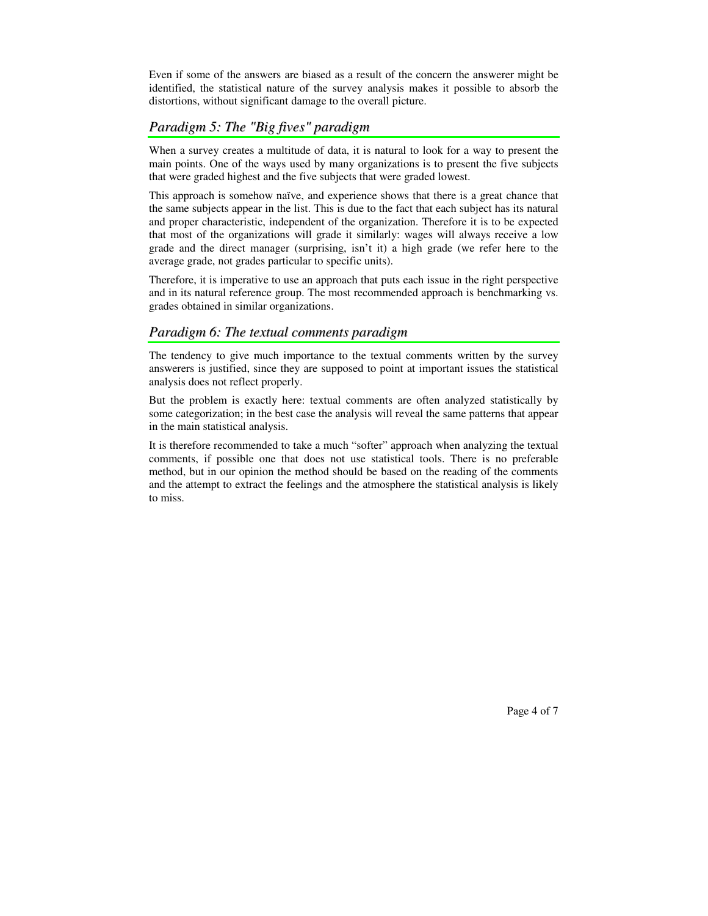Even if some of the answers are biased as a result of the concern the answerer might be identified, the statistical nature of the survey analysis makes it possible to absorb the distortions, without significant damage to the overall picture.

## *Paradigm 5: The "Big fives" paradigm*

When a survey creates a multitude of data, it is natural to look for a way to present the main points. One of the ways used by many organizations is to present the five subjects that were graded highest and the five subjects that were graded lowest.

This approach is somehow naïve, and experience shows that there is a great chance that the same subjects appear in the list. This is due to the fact that each subject has its natural and proper characteristic, independent of the organization. Therefore it is to be expected that most of the organizations will grade it similarly: wages will always receive a low grade and the direct manager (surprising, isn't it) a high grade (we refer here to the average grade, not grades particular to specific units).

Therefore, it is imperative to use an approach that puts each issue in the right perspective and in its natural reference group. The most recommended approach is benchmarking vs. grades obtained in similar organizations.

#### *Paradigm 6: The textual comments paradigm*

The tendency to give much importance to the textual comments written by the survey answerers is justified, since they are supposed to point at important issues the statistical analysis does not reflect properly.

But the problem is exactly here: textual comments are often analyzed statistically by some categorization; in the best case the analysis will reveal the same patterns that appear in the main statistical analysis.

It is therefore recommended to take a much "softer" approach when analyzing the textual comments, if possible one that does not use statistical tools. There is no preferable method, but in our opinion the method should be based on the reading of the comments and the attempt to extract the feelings and the atmosphere the statistical analysis is likely to miss.

Page 4 of 7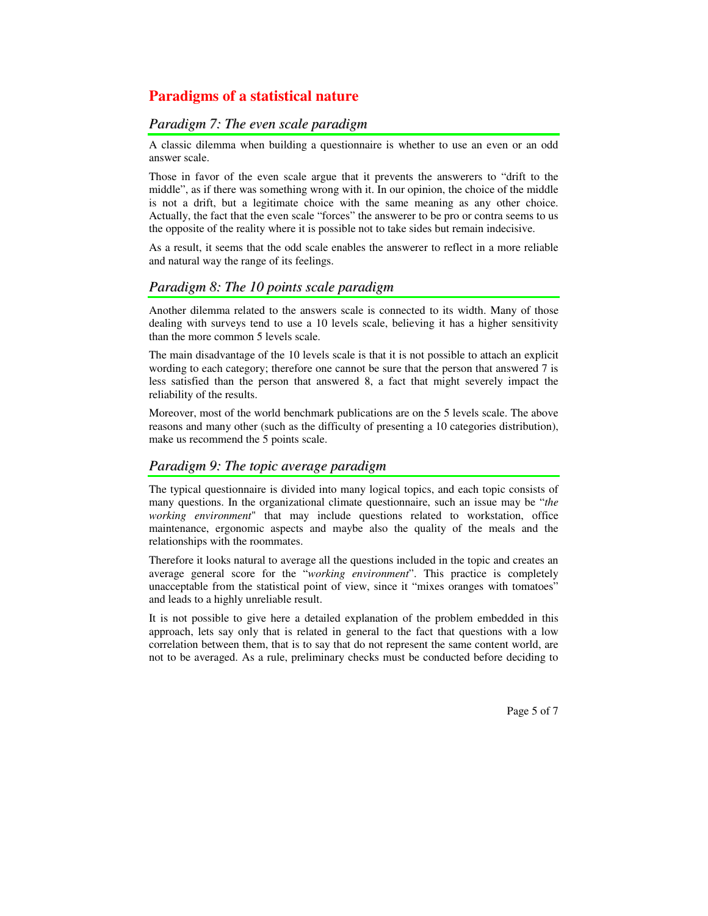# **Paradigms of a statistical nature**

#### *Paradigm 7: The even scale paradigm*

A classic dilemma when building a questionnaire is whether to use an even or an odd answer scale.

Those in favor of the even scale argue that it prevents the answerers to "drift to the middle", as if there was something wrong with it. In our opinion, the choice of the middle is not a drift, but a legitimate choice with the same meaning as any other choice. Actually, the fact that the even scale "forces" the answerer to be pro or contra seems to us the opposite of the reality where it is possible not to take sides but remain indecisive.

As a result, it seems that the odd scale enables the answerer to reflect in a more reliable and natural way the range of its feelings.

### *Paradigm 8: The 10 points scale paradigm*

Another dilemma related to the answers scale is connected to its width. Many of those dealing with surveys tend to use a 10 levels scale, believing it has a higher sensitivity than the more common 5 levels scale.

The main disadvantage of the 10 levels scale is that it is not possible to attach an explicit wording to each category; therefore one cannot be sure that the person that answered 7 is less satisfied than the person that answered 8, a fact that might severely impact the reliability of the results.

Moreover, most of the world benchmark publications are on the 5 levels scale. The above reasons and many other (such as the difficulty of presenting a 10 categories distribution), make us recommend the 5 points scale.

## *Paradigm 9: The topic average paradigm*

The typical questionnaire is divided into many logical topics, and each topic consists of many questions. In the organizational climate questionnaire, such an issue may be "*the working environment*" that may include questions related to workstation, office maintenance, ergonomic aspects and maybe also the quality of the meals and the relationships with the roommates.

Therefore it looks natural to average all the questions included in the topic and creates an average general score for the "*working environment*". This practice is completely unacceptable from the statistical point of view, since it "mixes oranges with tomatoes" and leads to a highly unreliable result.

It is not possible to give here a detailed explanation of the problem embedded in this approach, lets say only that is related in general to the fact that questions with a low correlation between them, that is to say that do not represent the same content world, are not to be averaged. As a rule, preliminary checks must be conducted before deciding to

Page 5 of 7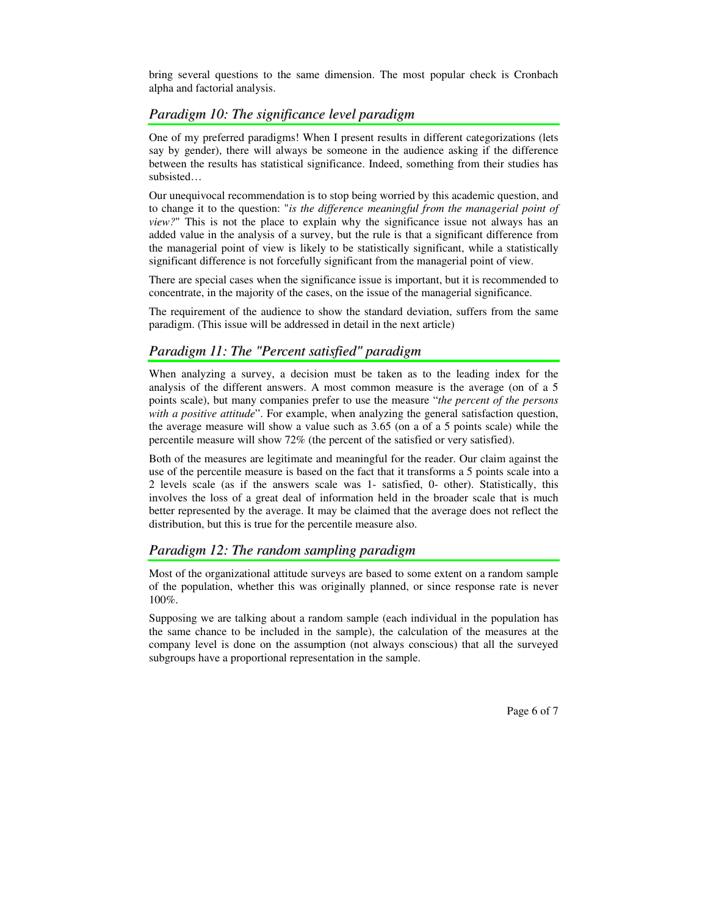bring several questions to the same dimension. The most popular check is Cronbach alpha and factorial analysis.

### *Paradigm 10: The significance level paradigm*

One of my preferred paradigms! When I present results in different categorizations (lets say by gender), there will always be someone in the audience asking if the difference between the results has statistical significance. Indeed, something from their studies has subsisted…

Our unequivocal recommendation is to stop being worried by this academic question, and to change it to the question: "*is the difference meaningful from the managerial point of view?*" This is not the place to explain why the significance issue not always has an added value in the analysis of a survey, but the rule is that a significant difference from the managerial point of view is likely to be statistically significant, while a statistically significant difference is not forcefully significant from the managerial point of view.

There are special cases when the significance issue is important, but it is recommended to concentrate, in the majority of the cases, on the issue of the managerial significance.

The requirement of the audience to show the standard deviation, suffers from the same paradigm. (This issue will be addressed in detail in the next article)

### *Paradigm 11: The "Percent satisfied" paradigm*

When analyzing a survey, a decision must be taken as to the leading index for the analysis of the different answers. A most common measure is the average (on of a 5 points scale), but many companies prefer to use the measure "*the percent of the persons with a positive attitude*". For example, when analyzing the general satisfaction question, the average measure will show a value such as 3.65 (on a of a 5 points scale) while the percentile measure will show 72% (the percent of the satisfied or very satisfied).

Both of the measures are legitimate and meaningful for the reader. Our claim against the use of the percentile measure is based on the fact that it transforms a 5 points scale into a 2 levels scale (as if the answers scale was 1- satisfied, 0- other). Statistically, this involves the loss of a great deal of information held in the broader scale that is much better represented by the average. It may be claimed that the average does not reflect the distribution, but this is true for the percentile measure also.

#### *Paradigm 12: The random sampling paradigm*

Most of the organizational attitude surveys are based to some extent on a random sample of the population, whether this was originally planned, or since response rate is never 100%.

Supposing we are talking about a random sample (each individual in the population has the same chance to be included in the sample), the calculation of the measures at the company level is done on the assumption (not always conscious) that all the surveyed subgroups have a proportional representation in the sample.

Page 6 of 7